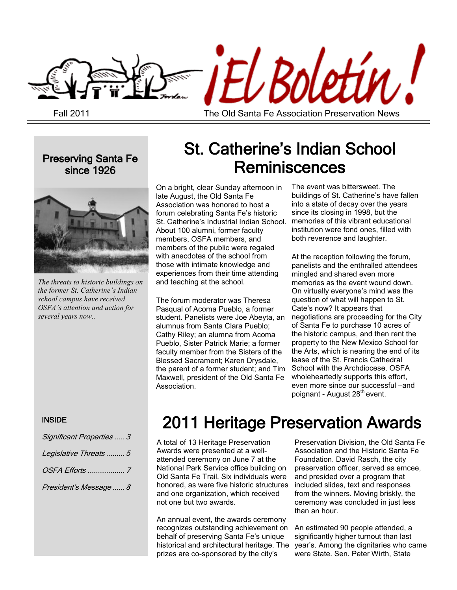

Fall 2011

The Old Santa Fe Association Preservation News

Preserving Santa Fe since 1926



*The threats to historic buildings on the former St. Catherine's Indian school campus have received OSFA's attention and action for several years now..*

#### INSIDE

| Significant Properties  3 |
|---------------------------|
| Legislative Threats  5    |
|                           |
| President's Message  8    |

# St. Catherine's Indian School **Reminiscences**

On a bright, clear Sunday afternoon in late August, the Old Santa Fe Association was honored to host a forum celebrating Santa Fe's historic St. Catherine's Industrial Indian School. About 100 alumni, former faculty members, OSFA members, and members of the public were regaled with anecdotes of the school from those with intimate knowledge and experiences from their time attending and teaching at the school.

The forum moderator was Theresa Pasqual of Acoma Pueblo, a former student. Panelists were Joe Abeyta, an alumnus from Santa Clara Pueblo; Cathy Riley; an alumna from Acoma Pueblo, Sister Patrick Marie; a former faculty member from the Sisters of the Blessed Sacrament; Karen Drysdale, the parent of a former student; and Tim Maxwell, president of the Old Santa Fe Association.

The event was bittersweet. The buildings of St. Catherine's have fallen into a state of decay over the years since its closing in 1998, but the memories of this vibrant educational institution were fond ones, filled with both reverence and laughter.

At the reception following the forum, panelists and the enthralled attendees mingled and shared even more memories as the event wound down. On virtually everyone's mind was the question of what will happen to St. Cate's now? It appears that negotiations are proceeding for the City of Santa Fe to purchase 10 acres of the historic campus, and then rent the property to the New Mexico School for the Arts, which is nearing the end of its lease of the St. Francis Cathedral School with the Archdiocese. OSFA wholeheartedly supports this effort, even more since our successful –and poignant - August 28<sup>th</sup> event.

# 2011 Heritage Preservation Awards

A total of 13 Heritage Preservation Awards were presented at a wellattended ceremony on June 7 at the National Park Service office building on Old Santa Fe Trail. Six individuals were honored, as were five historic structures and one organization, which received not one but two awards.

An annual event, the awards ceremony recognizes outstanding achievement on behalf of preserving Santa Fe's unique historical and architectural heritage. The year's. Among the dignitaries who came prizes are co-sponsored by the city's

Preservation Division, the Old Santa Fe Association and the Historic Santa Fe Foundation. David Rasch, the city preservation officer, served as emcee, and presided over a program that included slides, text and responses from the winners. Moving briskly, the ceremony was concluded in just less than an hour.

An estimated 90 people attended, a significantly higher turnout than last were State. Sen. Peter Wirth, State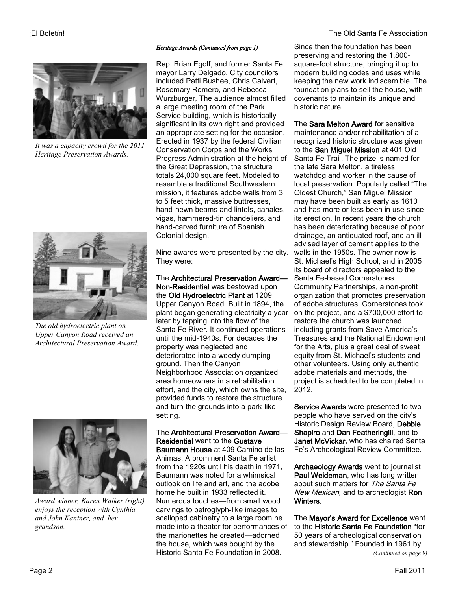

*It was a capacity crowd for the 2011 Heritage Preservation Awards.*



*The old hydroelectric plant on Upper Canyon Road received an Architectural Preservation Award.*



*Award winner, Karen Walker (right) enjoys the reception with Cynthia and John Kantner, and her grandson.*

#### *Heritage Awards (Continued from page 1)*

Rep. Brian Egolf, and former Santa Fe mayor Larry Delgado. City councilors included Patti Bushee, Chris Calvert, Rosemary Romero, and Rebecca Wurzburger, The audience almost filled a large meeting room of the Park Service building, which is historically significant in its own right and provided an appropriate setting for the occasion. Erected in 1937 by the federal Civilian Conservation Corps and the Works Progress Administration at the height of the Great Depression, the structure totals 24,000 square feet. Modeled to resemble a traditional Southwestern mission, it features adobe walls from 3 to 5 feet thick, massive buttresses, hand-hewn beams and lintels, canales, vigas, hammered-tin chandeliers, and hand-carved furniture of Spanish Colonial design.

Nine awards were presented by the city. They were:

The Architectural Preservation Award— Non-Residential was bestowed upon the Old Hydroelectric Plant at 1209 Upper Canyon Road. Built in 1894, the plant began generating electricity a year later by tapping into the flow of the Santa Fe River. It continued operations until the mid-1940s. For decades the property was neglected and deteriorated into a weedy dumping ground. Then the Canyon Neighborhood Association organized area homeowners in a rehabilitation effort, and the city, which owns the site, provided funds to restore the structure and turn the grounds into a park-like setting.

The Architectural Preservation Award— Residential went to the Gustave Baumann House at 409 Camino de las Animas. A prominent Santa Fe artist from the 1920s until his death in 1971, Baumann was noted for a whimsical outlook on life and art, and the adobe home he built in 1933 reflected it. Numerous touches—from small wood carvings to petroglyph-like images to scalloped cabinetry to a large room he made into a theater for performances of the marionettes he created—adorned the house, which was bought by the Historic Santa Fe Foundation in 2008.

Since then the foundation has been preserving and restoring the 1,800 square-foot structure, bringing it up to modern building codes and uses while keeping the new work indiscernible. The foundation plans to sell the house, with covenants to maintain its unique and historic nature.

The Sara Melton Award for sensitive maintenance and/or rehabilitation of a recognized historic structure was given to the San Miguel Mission at 401 Old Santa Fe Trail. The prize is named for the late Sara Melton, a tireless watchdog and worker in the cause of local preservation. Popularly called "The Oldest Church," San Miguel Mission may have been built as early as 1610 and has more or less been in use since its erection. In recent years the church has been deteriorating because of poor drainage, an antiquated roof, and an illadvised layer of cement applies to the walls in the 1950s. The owner now is St. Michael's High School, and in 2005 its board of directors appealed to the Santa Fe-based Cornerstones Community Partnerships, a non-profit organization that promotes preservation of adobe structures. Cornerstones took on the project, and a \$700,000 effort to restore the church was launched, including grants from Save America's Treasures and the National Endowment for the Arts, plus a great deal of sweat equity from St. Michael's students and other volunteers. Using only authentic adobe materials and methods, the project is scheduled to be completed in 2012.

Service Awards were presented to two people who have served on the city's Historic Design Review Board, Debbie Shapiro and Dan Featheringill, and to Janet McVickar, who has chaired Santa Fe's Archeological Review Committee.

Archaeology Awards went to journalist Paul Weideman, who has long written about such matters for The Santa Fe New Mexican, and to archeologist Ron Winters.

The Mayor's Award for Excellence went to the Historic Santa Fe Foundation "for 50 years of archeological conservation and stewardship." Founded in 1961 by *(Continued on page 9)*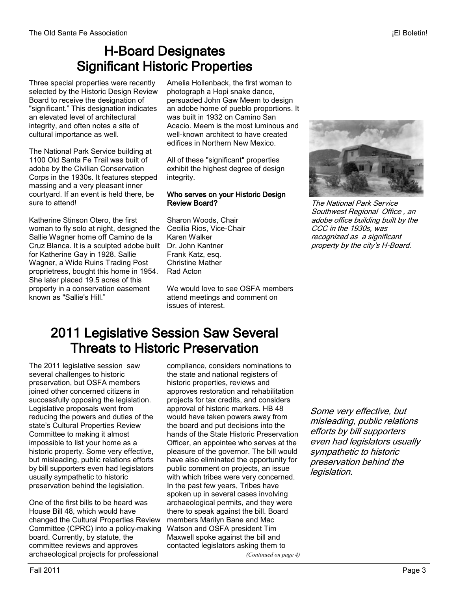### H-Board Designates Significant Historic Properties

Three special properties were recently selected by the Historic Design Review Board to receive the designation of "significant." This designation indicates an elevated level of architectural integrity, and often notes a site of cultural importance as well.

The National Park Service building at 1100 Old Santa Fe Trail was built of adobe by the Civilian Conservation Corps in the 1930s. It features stepped massing and a very pleasant inner courtyard. If an event is held there, be sure to attend!

Katherine Stinson Otero, the first woman to fly solo at night, designed the Sallie Wagner home off Camino de la Cruz Blanca. It is a sculpted adobe built Dr. John Kantner for Katherine Gay in 1928. Sallie Wagner, a Wide Ruins Trading Post proprietress, bought this home in 1954. She later placed 19.5 acres of this property in a conservation easement known as "Sallie's Hill."

Amelia Hollenback, the first woman to photograph a Hopi snake dance, persuaded John Gaw Meem to design an adobe home of pueblo proportions. It was built in 1932 on Camino San Acacio. Meem is the most luminous and well-known architect to have created edifices in Northern New Mexico.

All of these "significant" properties exhibit the highest degree of design integrity.

#### Who serves on your Historic Design Review Board?

Sharon Woods, Chair Cecilia Rios, Vice-Chair Karen Walker Frank Katz, esq. Christine Mather Rad Acton

We would love to see OSFA members attend meetings and comment on issues of interest.



The National Park Service Southwest Regional Office , an adobe office building built by the CCC in the 1930s, was recognized as a significant property by the city's H-Board.

## 2011 Legislative Session Saw Several Threats to Historic Preservation

The 2011 legislative session saw several challenges to historic preservation, but OSFA members joined other concerned citizens in successfully opposing the legislation. Legislative proposals went from reducing the powers and duties of the state's Cultural Properties Review Committee to making it almost impossible to list your home as a historic property. Some very effective, but misleading, public relations efforts by bill supporters even had legislators usually sympathetic to historic preservation behind the legislation.

One of the first bills to be heard was House Bill 48, which would have changed the Cultural Properties Review Committee (CPRC) into a policy-making board. Currently, by statute, the committee reviews and approves archaeological projects for professional

compliance, considers nominations to the state and national registers of historic properties, reviews and approves restoration and rehabilitation projects for tax credits, and considers approval of historic markers. HB 48 would have taken powers away from the board and put decisions into the hands of the State Historic Preservation Officer, an appointee who serves at the pleasure of the governor. The bill would have also eliminated the opportunity for public comment on projects, an issue with which tribes were very concerned. In the past few years, Tribes have spoken up in several cases involving archaeological permits, and they were there to speak against the bill. Board members Marilyn Bane and Mac Watson and OSFA president Tim Maxwell spoke against the bill and contacted legislators asking them to

Some very effective, but misleading, public relations efforts by bill supporters even had legislators usually sympathetic to historic preservation behind the legislation.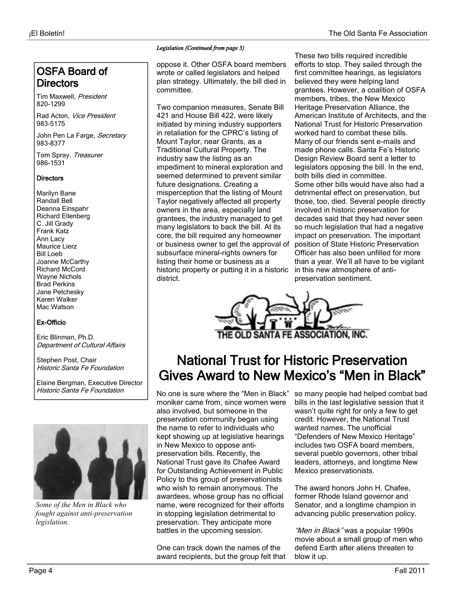### OSFA Board of **Directors**

Tim Maxwell, President 820-1299

Rad Acton, Vice President 983-5175

John Pen La Farge, Secretary 983-8377

Tom Spray, Treasurer 986-1531

#### **Directors**

Marilyn Bane Randall Bell Deanna Einspahr Richard Ellenberg C. Jill Grady Frank Katz Ann Lacy Maurice Lierz Bill Loeb Joanne McCarthy Richard McCord Wayne Nichols Brad Perkins Jane Petchesky Karen Walker Mac Watson

#### Ex-Officio

Eric Blinman, Ph.D. Department of Cultural Affairs

Stephen Post, Chair Historic Santa Fe Foundation

Elaine Bergman, Executive Director Historic Santa Fe Foundation



*Some of the Men in Black who fought against anti-preservation legislation.*

#### *Legislation (Continued from page 3)*

oppose it. Other OSFA board members wrote or called legislators and helped plan strategy. Ultimately, the bill died in committee.

Two companion measures, Senate Bill 421 and House Bill 422, were likely initiated by mining industry supporters in retaliation for the CPRC's listing of Mount Taylor, near Grants, as a Traditional Cultural Property. The industry saw the listing as an impediment to mineral exploration and seemed determined to prevent similar future designations. Creating a misperception that the listing of Mount Taylor negatively affected all property owners in the area, especially land grantees, the industry managed to get many legislators to back the bill. At its core, the bill required any homeowner or business owner to get the approval of subsurface mineral-rights owners for listing their home or business as a historic property or putting it in a historic district.

These two bills required incredible efforts to stop. They sailed through the first committee hearings, as legislators believed they were helping land grantees. However, a coalition of OSFA members, tribes, the New Mexico Heritage Preservation Alliance, the American Institute of Architects, and the National Trust for Historic Preservation worked hard to combat these bills. Many of our friends sent e-mails and made phone calls. Santa Fe's Historic Design Review Board sent a letter to legislators opposing the bill. In the end, both bills died in committee. Some other bills would have also had a detrimental effect on preservation, but those, too, died. Several people directly involved in historic preservation for decades said that they had never seen so much legislation that had a negative impact on preservation. The important position of State Historic Preservation Officer has also been unfilled for more than a year. We'll all have to be vigilant in this new atmosphere of antipreservation sentiment.



## National Trust for Historic Preservation Gives Award to New Mexico's "Men in Black"

moniker came from, since women were also involved, but someone in the preservation community began using the name to refer to individuals who kept showing up at legislative hearings in New Mexico to oppose antipreservation bills. Recently, the National Trust gave its Chafee Award for Outstanding Achievement in Public Policy to this group of preservationists who wish to remain anonymous. The awardees, whose group has no official name, were recognized for their efforts in stopping legislation detrimental to preservation. They anticipate more battles in the upcoming session.

One can track down the names of the award recipients, but the group felt that

No one is sure where the "Men in Black" so many people had helped combat bad bills in the last legislative session that it wasn't quite right for only a few to get credit. However, the National Trust wanted names. The unofficial "Defenders of New Mexico Heritage" includes two OSFA board members, several pueblo governors, other tribal leaders, attorneys, and longtime New Mexico preservationists.

> The award honors John H. Chafee, former Rhode Island governor and Senator, and a longtime champion in advancing public preservation policy.

"Men in Black" was a popular 1990s movie about a small group of men who defend Earth after aliens threaten to blow it up.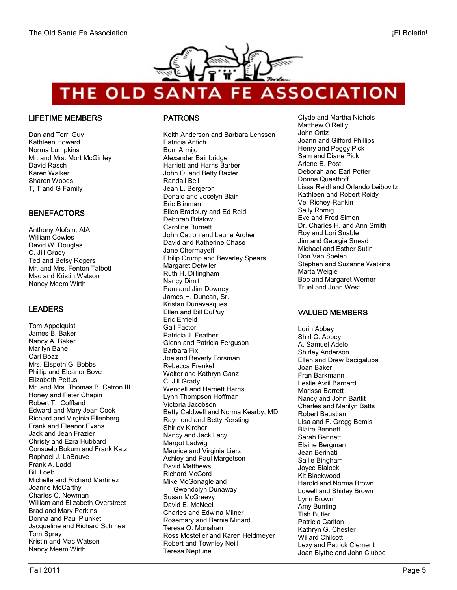

**ASSOCIATION** THE OLD SANTA FE

#### LIFETIME MEMBERS

Dan and Terri Guy Kathleen Howard Norma Lumpkins Mr. and Mrs. Mort McGinley David Rasch Karen Walker Sharon Woods T, T and G Family

#### BENEFACTORS

Anthony Alofsin, AIA William Cowles David W. Douglas C. Jill Grady Ted and Betsy Rogers Mr. and Mrs. Fenton Talbott Mac and Kristin Watson Nancy Meem Wirth

#### LEADERS

Tom Appelquist James B. Baker Nancy A. Baker Marilyn Bane Carl Boaz Mrs. Elspeth G. Bobbs Phillip and Eleanor Bove Elizabeth Pettus Mr. and Mrs. Thomas B. Catron III Honey and Peter Chapin Robert T. Coffland Edward and Mary Jean Cook Richard and Virginia Ellenberg Frank and Eleanor Evans Jack and Jean Frazier Christy and Ezra Hubbard Consuelo Bokum and Frank Katz Raphael J. LaBauve Frank A. Ladd Bill Loeb Michelle and Richard Martinez Joanne McCarthy Charles C. Newman William and Elizabeth Overstreet Brad and Mary Perkins Donna and Paul Plunket Jacqueline and Richard Schmeal Tom Spray Kristin and Mac Watson Nancy Meem Wirth

#### PATRONS

Keith Anderson and Barbara Lenssen Patricia Antich Boni Armijo Alexander Bainbridge Harriett and Harris Barber John O. and Betty Baxter Randall Bell Jean L. Bergeron Donald and Jocelyn Blair Eric Blinman Ellen Bradbury and Ed Reid Deborah Bristow Caroline Burnett John Catron and Laurie Archer David and Katherine Chase Jane Chermayeff Philip Crump and Beverley Spears Margaret Detwiler Ruth H. Dillingham Nancy Dimit Pam and Jim Downey James H. Duncan, Sr. Kristan Dunavasques Ellen and Bill DuPuy Eric Enfield Gail Factor Patricia J. Feather Glenn and Patricia Ferguson Barbara Fix Joe and Beverly Forsman Rebecca Frenkel Walter and Kathryn Ganz C. Jill Grady Wendell and Harriett Harris Lynn Thompson Hoffman Victoria Jacobson Betty Caldwell and Norma Kearby, MD Raymond and Betty Kersting Shirley Kircher Nancy and Jack Lacy Margot Ladwig Maurice and Virginia Lierz Ashley and Paul Margetson David Matthews Richard McCord Mike McGonagle and Gwendolyn Dunaway Susan McGreevy David E. McNeel Charles and Edwina Milner Rosemary and Bernie Minard Teresa O. Monahan Ross Mosteller and Karen Heldmeyer Robert and Townley Neill Teresa Neptune

Clyde and Martha Nichols Matthew O'Reilly John Ortiz Joann and Gifford Phillips Henry and Peggy Pick Sam and Diane Pick Arlene B. Post Deborah and Earl Potter Donna Quasthoff Lissa Reidl and Orlando Leibovitz Kathleen and Robert Reidy Vel Richey-Rankin Sally Romig Eve and Fred Simon Dr. Charles H. and Ann Smith Roy and Lori Snable Jim and Georgia Snead Michael and Esther Sutin Don Van Soelen Stephen and Suzanne Watkins Marta Weigle Bob and Margaret Werner Truel and Joan West

#### VALUED MEMBERS

Lorin Abbey Shirl C. Abbey A. Samuel Adelo Shirley Anderson Ellen and Drew Bacigalupa Joan Baker Fran Barkmann Leslie Avril Barnard Marissa Barrett Nancy and John Bartlit Charles and Marilyn Batts Robert Baustian Lisa and F. Gregg Bemis Blaire Bennett Sarah Bennett Elaine Bergman Jean Berinati Sallie Bingham Joyce Blalock Kit Blackwood Harold and Norma Brown Lowell and Shirley Brown Lynn Brown Amy Bunting Tish Butler Patricia Carlton Kathryn G. Chester Willard Chilcott Lexy and Patrick Clement Joan Blythe and John Clubbe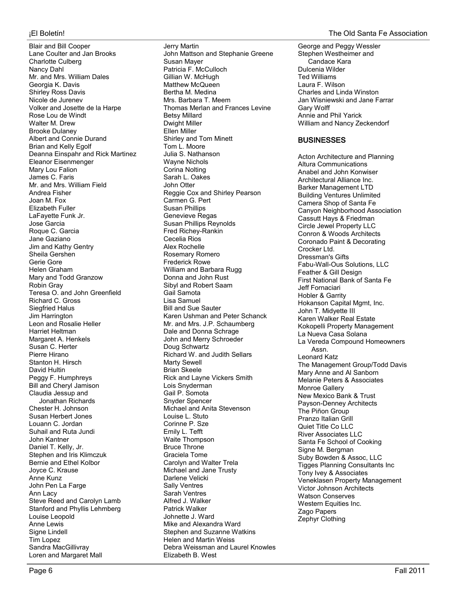Blair and Bill Cooper Lane Coulter and Jan Brooks Charlotte Culberg Nancy Dahl Mr. and Mrs. William Dales Georgia K. Davis Shirley Ross Davis Nicole de Jurenev Volker and Josette de la Harpe Rose Lou de Windt Walter M. Drew Brooke Dulaney Albert and Connie Durand Brian and Kelly Egolf Deanna Einspahr and Rick Martinez Eleanor Eisenmenger Mary Lou Falion James C. Faris Mr. and Mrs. William Field Andrea Fisher Joan M. Fox Elizabeth Fuller LaFayette Funk Jr. Jose Garcia Roque C. Garcia Jane Gaziano Jim and Kathy Gentry Sheila Gershen Gerie Gore Helen Graham Mary and Todd Granzow Robin Gray Teresa O. and John Greenfield Richard C. Gross Siegfried Halus Jim Harrington Leon and Rosalie Heller Harriet Heltman Margaret A. Henkels Susan C. Herter Pierre Hirano Stanton H. Hirsch David Hultin Peggy F. Humphreys Bill and Cheryl Jamison Claudia Jessup and Jonathan Richards Chester H. Johnson Susan Herbert Jones Louann C. Jordan Suhail and Ruta Jundi John Kantner Daniel T. Kelly, Jr. Stephen and Iris Klimczuk Bernie and Ethel Kolbor Joyce C. Krause Anne Kunz John Pen La Farge Ann Lacy Steve Reed and Carolyn Lamb Stanford and Phyllis Lehmberg Louise Leopold Anne Lewis Signe Lindell Tim Lopez Sandra MacGillivray Loren and Margaret Mall

Jerry Martin John Mattson and Stephanie Greene Susan Mayer Patricia F. McCulloch Gillian W. McHugh Matthew McQueen Bertha M. Medina Mrs. Barbara T. Meem Thomas Merlan and Frances Levine Betsy Millard Dwight Miller Ellen Miller Shirley and Tom Minett Tom L. Moore Julia S. Nathanson Wayne Nichols Corina Nolting Sarah L. Oakes John Otter Reggie Cox and Shirley Pearson Carmen G. Pert Susan Phillips Genevieve Regas Susan Phillips Reynolds Fred Richey-Rankin Cecelia Rios Alex Rochelle Rosemary Romero Frederick Rowe William and Barbara Rugg Donna and John Rust Sibyl and Robert Saam Gail Samota Lisa Samuel Bill and Sue Sauter Karen Ushman and Peter Schanck Mr. and Mrs. J.P. Schaumberg Dale and Donna Schrage John and Merry Schroeder Doug Schwartz Richard W. and Judith Sellars Marty Sewell Brian Skeele Rick and Layne Vickers Smith Lois Snyderman Gail P. Somota Snyder Spencer Michael and Anita Stevenson Louise L. Stuto Corinne P. Sze Emily L. Tefft Waite Thompson Bruce Throne Graciela Tome Carolyn and Walter Trela Michael and Jane Trusty Darlene Velicki Sally Ventres Sarah Ventres Alfred J. Walker Patrick Walker Johnette J. Ward Mike and Alexandra Ward Stephen and Suzanne Watkins Helen and Martin Weiss Debra Weissman and Laurel Knowles Elizabeth B. West

George and Peggy Wessler Stephen Westheimer and Candace Kara Dulcenia Wilder Ted Williams Laura F. Wilson Charles and Linda Winston Jan Wisniewski and Jane Farrar Gary Wolff Annie and Phil Yarick William and Nancy Zeckendorf

#### **BUSINESSES**

Acton Architecture and Planning Altura Communications Anabel and John Konwiser Architectural Alliance Inc. Barker Management LTD Building Ventures Unlimited Camera Shop of Santa Fe Canyon Neighborhood Association Cassutt Hays & Friedman Circle Jewel Property LLC Conron & Woods Architects Coronado Paint & Decorating Crocker Ltd. Dressman's Gifts Fabu-Wall-Ous Solutions, LLC Feather & Gill Design First National Bank of Santa Fe Jeff Fornaciari Hobler & Garrity Hokanson Capital Mgmt, Inc. John T. Midyette III Karen Walker Real Estate Kokopelli Property Management La Nueva Casa Solana La Vereda Compound Homeowners Assn. Leonard Katz The Management Group/Todd Davis Mary Anne and Al Sanborn Melanie Peters & Associates Monroe Gallery New Mexico Bank & Trust Payson-Denney Architects The Piñon Group Pranzo Italian Grill Quiet Title Co LLC River Associates LLC Santa Fe School of Cooking Signe M. Bergman Suby Bowden & Assoc, LLC Tigges Planning Consultants Inc Tony Ivey & Associates Veneklasen Property Management Victor Johnson Architects Watson Conserves Western Equities Inc. Zago Papers Zephyr Clothing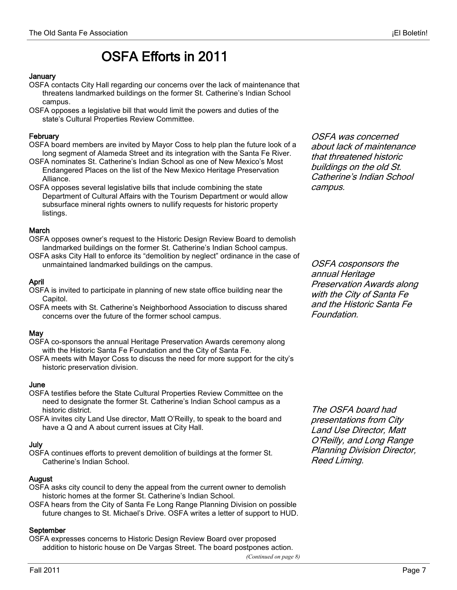## OSFA Efforts in 2011

#### January

- OSFA contacts City Hall regarding our concerns over the lack of maintenance that threatens landmarked buildings on the former St. Catherine's Indian School campus.
- OSFA opposes a legislative bill that would limit the powers and duties of the state's Cultural Properties Review Committee.

#### February

- OSFA board members are invited by Mayor Coss to help plan the future look of a long segment of Alameda Street and its integration with the Santa Fe River.
- OSFA nominates St. Catherine's Indian School as one of New Mexico's Most Endangered Places on the list of the New Mexico Heritage Preservation Alliance.
- OSFA opposes several legislative bills that include combining the state Department of Cultural Affairs with the Tourism Department or would allow subsurface mineral rights owners to nullify requests for historic property listings.

#### **March**

- OSFA opposes owner's request to the Historic Design Review Board to demolish landmarked buildings on the former St. Catherine's Indian School campus.
- OSFA asks City Hall to enforce its "demolition by neglect" ordinance in the case of unmaintained landmarked buildings on the campus.

#### April

- OSFA is invited to participate in planning of new state office building near the Capitol.
- OSFA meets with St. Catherine's Neighborhood Association to discuss shared concerns over the future of the former school campus.

#### May

- OSFA co-sponsors the annual Heritage Preservation Awards ceremony along with the Historic Santa Fe Foundation and the City of Santa Fe.
- OSFA meets with Mayor Coss to discuss the need for more support for the city's historic preservation division.

#### June

- OSFA testifies before the State Cultural Properties Review Committee on the need to designate the former St. Catherine's Indian School campus as a historic district.
- OSFA invites city Land Use director, Matt O'Reilly, to speak to the board and have a Q and A about current issues at City Hall.

#### July

OSFA continues efforts to prevent demolition of buildings at the former St. Catherine's Indian School.

#### August

- OSFA asks city council to deny the appeal from the current owner to demolish historic homes at the former St. Catherine's Indian School.
- OSFA hears from the City of Santa Fe Long Range Planning Division on possible future changes to St. Michael's Drive. OSFA writes a letter of support to HUD.

#### September

OSFA expresses concerns to Historic Design Review Board over proposed addition to historic house on De Vargas Street. The board postpones action.

*(Continued on page 8)*

OSFA was concerned about lack of maintenance that threatened historic buildings on the old St. Catherine's Indian School campus.

OSFA cosponsors the annual Heritage Preservation Awards along with the City of Santa Fe and the Historic Santa Fe Foundation.

The OSFA board had presentations from City Land Use Director, Matt O'Reilly, and Long Range Planning Division Director, Reed Liming.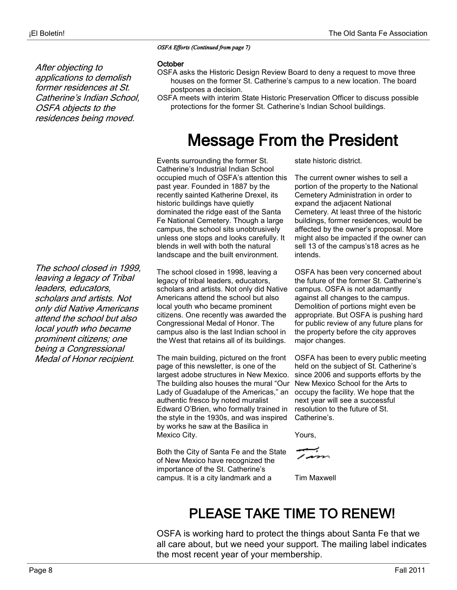After objecting to

applications to demolish former residences at St. Catherine's Indian School,

OSFA objects to the residences being moved. *OSFA Efforts (Continued from page 7)* 

#### October

- OSFA asks the Historic Design Review Board to deny a request to move three houses on the former St. Catherine's campus to a new location. The board postpones a decision.
- OSFA meets with interim State Historic Preservation Officer to discuss possible protections for the former St. Catherine's Indian School buildings.

# Message From the President

Events surrounding the former St. Catherine's Industrial Indian School occupied much of OSFA's attention this past year. Founded in 1887 by the recently sainted Katherine Drexel, its historic buildings have quietly dominated the ridge east of the Santa Fe National Cemetery. Though a large campus, the school sits unobtrusively unless one stops and looks carefully. It blends in well with both the natural landscape and the built environment.

The school closed in 1998, leaving a legacy of tribal leaders, educators, scholars and artists. Not only did Native Americans attend the school but also local youth who became prominent citizens. One recently was awarded the Congressional Medal of Honor. The campus also is the last Indian school in the West that retains all of its buildings.

The main building, pictured on the front page of this newsletter, is one of the largest adobe structures in New Mexico. The building also houses the mural "Our Lady of Guadalupe of the Americas," an authentic fresco by noted muralist Edward O'Brien, who formally trained in the style in the 1930s, and was inspired by works he saw at the Basilica in Mexico City.

Both the City of Santa Fe and the State of New Mexico have recognized the importance of the St. Catherine's campus. It is a city landmark and a

state historic district.

The current owner wishes to sell a portion of the property to the National Cemetery Administration in order to expand the adjacent National Cemetery. At least three of the historic buildings, former residences, would be affected by the owner's proposal. More might also be impacted if the owner can sell 13 of the campus's18 acres as he intends.

OSFA has been very concerned about the future of the former St. Catherine's campus. OSFA is not adamantly against all changes to the campus. Demolition of portions might even be appropriate. But OSFA is pushing hard for public review of any future plans for the property before the city approves major changes.

OSFA has been to every public meeting held on the subject of St. Catherine's since 2006 and supports efforts by the New Mexico School for the Arts to occupy the facility. We hope that the next year will see a successful resolution to the future of St. Catherine's.

Yours,

raan

Tim Maxwell

## PLEASE TAKE TIME TO RENEW!

OSFA is working hard to protect the things about Santa Fe that we all care about, but we need your support. The mailing label indicates the most recent year of your membership.

The school closed in 1999, leaving a legacy of Tribal leaders, educators, scholars and artists. Not only did Native Americans attend the school but also local youth who became prominent citizens; one being a Congressional Medal of Honor recipient.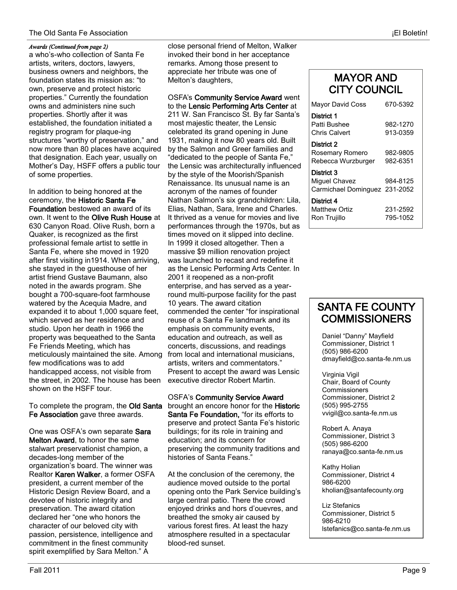#### The Old Santa Fe Association ¡El Boletín!

#### *Awards (Continued from page 2)*

a who's-who collection of Santa Fe artists, writers, doctors, lawyers, business owners and neighbors, the foundation states its mission as: "to own, preserve and protect historic properties." Currently the foundation owns and administers nine such properties. Shortly after it was established, the foundation initiated a registry program for plaque-ing structures "worthy of preservation," and now more than 80 places have acquired that designation. Each year, usually on Mother's Day, HSFF offers a public tour of some properties.

In addition to being honored at the ceremony, the Historic Santa Fe Foundation bestowed an award of its own. It went to the Olive Rush House at 630 Canyon Road. Olive Rush, born a Quaker, is recognized as the first professional female artist to settle in Santa Fe, where she moved in 1920 after first visiting in1914. When arriving, she stayed in the guesthouse of her artist friend Gustave Baumann, also noted in the awards program. She bought a 700-square-foot farmhouse watered by the Acequia Madre, and expanded it to about 1,000 square feet, which served as her residence and studio. Upon her death in 1966 the property was bequeathed to the Santa Fe Friends Meeting, which has meticulously maintained the site. Among few modifications was to add handicapped access, not visible from the street, in 2002. The house has been shown on the HSFF tour.

To complete the program, the Old Santa Fe Association gave three awards.

One was OSFA's own separate Sara Melton Award, to honor the same stalwart preservationist champion, a decades-long member of the organization's board. The winner was Realtor Karen Walker, a former OSFA president, a current member of the Historic Design Review Board, and a devotee of historic integrity and preservation. The award citation declared her "one who honors the character of our beloved city with passion, persistence, intelligence and commitment in the finest community spirit exemplified by Sara Melton." A

close personal friend of Melton, Walker invoked their bond in her acceptance remarks. Among those present to appreciate her tribute was one of Melton's daughters,

OSFA's Community Service Award went to the Lensic Performing Arts Center at 211 W. San Francisco St. By far Santa's most majestic theater, the Lensic celebrated its grand opening in June 1931, making it now 80 years old. Built by the Salmon and Greer families and "dedicated to the people of Santa Fe," the Lensic was architecturally influenced by the style of the Moorish/Spanish Renaissance. Its unusual name is an acronym of the names of founder Nathan Salmon's six grandchildren: Lila, Elias, Nathan, Sara, Irene and Charles. It thrived as a venue for movies and live performances through the 1970s, but as times moved on it slipped into decline. In 1999 it closed altogether. Then a massive \$9 million renovation project was launched to recast and redefine it as the Lensic Performing Arts Center. In 2001 it reopened as a non-profit enterprise, and has served as a yearround multi-purpose facility for the past 10 years. The award citation commended the center "for inspirational reuse of a Santa Fe landmark and its emphasis on community events, education and outreach, as well as concerts, discussions, and readings from local and international musicians, artists, writers and commentators." Present to accept the award was Lensic executive director Robert Martin.

OSFA's Community Service Award brought an encore honor for the Historic Santa Fe Foundation, "for its efforts to preserve and protect Santa Fe's historic buildings; for its role in training and education; and its concern for preserving the community traditions and histories of Santa Feans."

At the conclusion of the ceremony, the audience moved outside to the portal opening onto the Park Service building's large central patio. There the crowd enjoyed drinks and hors d'ouevres, and breathed the smoky air caused by various forest fires. At least the hazy atmosphere resulted in a spectacular blood-red sunset.

### MAYOR AND CITY COUNCIL

| Mayor David Coss                                             | 670-5392             |
|--------------------------------------------------------------|----------------------|
| District 1<br>Patti Bushee<br>Chris Calvert                  | 982-1270<br>913-0359 |
| District 2<br>Rosemary Romero<br>Rebecca Wurzburger          | 982-9805<br>982-6351 |
| District 3<br>Miquel Chavez<br>Carmichael Dominguez 231-2052 | 984-8125             |
| District 4<br><b>Matthew Ortiz</b><br>Ron Trujillo           | 231-2592<br>795-1052 |

### SANTA FE COUNTY **COMMISSIONERS**

Daniel "Danny" Mayfield Commissioner, District 1 (505) 986-6200 dmayfield@co.santa-fe.nm.us

Virginia Vigil Chair, Board of County **Commissioners** Commissioner, District 2 (505) 995-2755 vvigil@co.santa-fe.nm.us

Robert A. Anaya Commissioner, District 3 (505) 986-6200 ranaya@co.santa-fe.nm.us

Kathy Holian Commissioner, District 4 986-6200 kholian@santafecounty.org

Liz Stefanics Commissioner, District 5 986-6210 lstefanics@co.santa-fe.nm.us